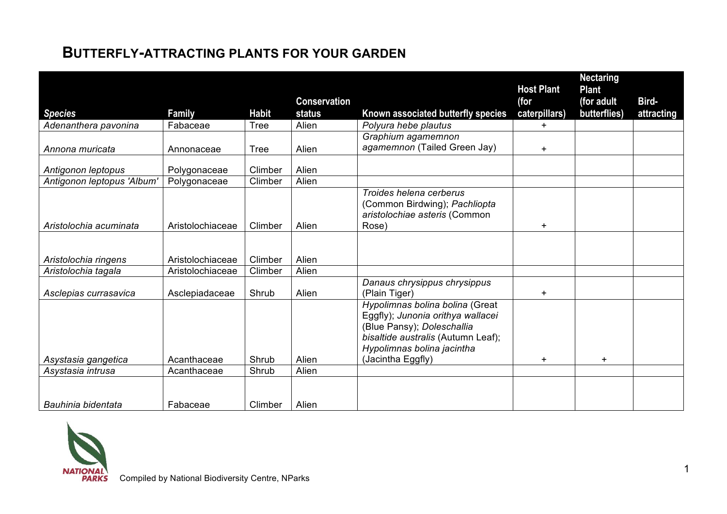## **BUTTERFLY-ATTRACTING PLANTS FOR YOUR GARDEN**

|                            |                  |              |                     |                                                                                                                                                                        | <b>Host Plant</b> | <b>Nectaring</b><br><b>Plant</b> |            |
|----------------------------|------------------|--------------|---------------------|------------------------------------------------------------------------------------------------------------------------------------------------------------------------|-------------------|----------------------------------|------------|
|                            |                  |              | <b>Conservation</b> |                                                                                                                                                                        | (for              | (for adult                       | Bird-      |
| <b>Species</b>             | <b>Family</b>    | <b>Habit</b> | status              | Known associated butterfly species                                                                                                                                     | caterpillars)     | butterflies)                     | attracting |
| Adenanthera pavonina       | Fabaceae         | <b>Tree</b>  | Alien               | Polyura hebe plautus                                                                                                                                                   | $+$               |                                  |            |
| Annona muricata            | Annonaceae       | <b>Tree</b>  | Alien               | Graphium agamemnon<br>agamemnon (Tailed Green Jay)                                                                                                                     | $\pm$             |                                  |            |
| Antigonon leptopus         | Polygonaceae     | Climber      | Alien               |                                                                                                                                                                        |                   |                                  |            |
| Antigonon leptopus 'Album' | Polygonaceae     | Climber      | Alien               |                                                                                                                                                                        |                   |                                  |            |
|                            |                  |              |                     | Troides helena cerberus<br>(Common Birdwing); Pachliopta<br>aristolochiae asteris (Common                                                                              |                   |                                  |            |
| Aristolochia acuminata     | Aristolochiaceae | Climber      | Alien               | Rose)                                                                                                                                                                  | +                 |                                  |            |
| Aristolochia ringens       | Aristolochiaceae | Climber      | Alien               |                                                                                                                                                                        |                   |                                  |            |
| Aristolochia tagala        | Aristolochiaceae | Climber      | Alien               |                                                                                                                                                                        |                   |                                  |            |
| Asclepias currasavica      | Asclepiadaceae   | Shrub        | Alien               | Danaus chrysippus chrysippus<br>(Plain Tiger)                                                                                                                          | $\ddot{}$         |                                  |            |
|                            |                  |              |                     | Hypolimnas bolina bolina (Great<br>Eggfly); Junonia orithya wallacei<br>(Blue Pansy); Doleschallia<br>bisaltide australis (Autumn Leaf);<br>Hypolimnas bolina jacintha |                   |                                  |            |
| Asystasia gangetica        | Acanthaceae      | Shrub        | Alien               | (Jacintha Eggfly)                                                                                                                                                      | $\ddagger$        | $\pm$                            |            |
| Asystasia intrusa          | Acanthaceae      | Shrub        | Alien               |                                                                                                                                                                        |                   |                                  |            |
| Bauhinia bidentata         | Fabaceae         | Climber      | Alien               |                                                                                                                                                                        |                   |                                  |            |

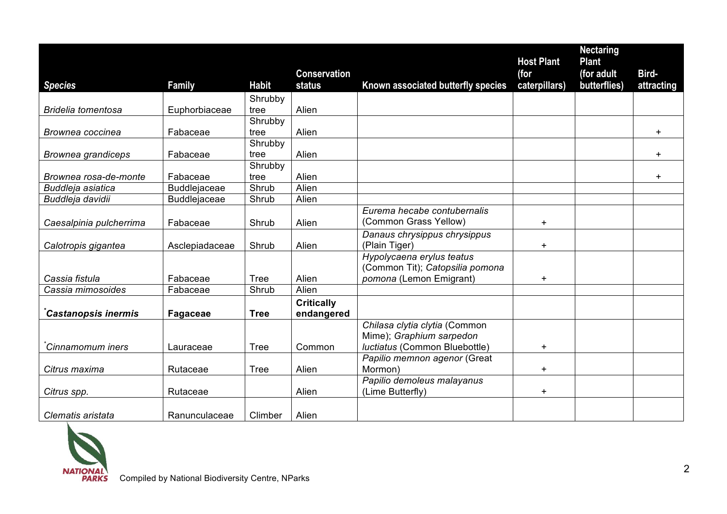|                           |                     |              |                     |                                    | <b>Host Plant</b> | <b>Nectaring</b><br><b>Plant</b> |            |
|---------------------------|---------------------|--------------|---------------------|------------------------------------|-------------------|----------------------------------|------------|
|                           |                     |              | <b>Conservation</b> |                                    | (for              | (for adult                       | Bird-      |
| <b>Species</b>            | <b>Family</b>       | <b>Habit</b> | status              | Known associated butterfly species | caterpillars)     | butterflies)                     | attracting |
|                           |                     | Shrubby      |                     |                                    |                   |                                  |            |
| <b>Bridelia tomentosa</b> | Euphorbiaceae       | tree         | Alien               |                                    |                   |                                  |            |
|                           |                     | Shrubby      |                     |                                    |                   |                                  |            |
| Brownea coccinea          | Fabaceae            | tree         | Alien               |                                    |                   |                                  | $+$        |
|                           |                     | Shrubby      |                     |                                    |                   |                                  |            |
| Brownea grandiceps        | Fabaceae            | tree         | Alien               |                                    |                   |                                  |            |
|                           |                     | Shrubby      |                     |                                    |                   |                                  |            |
| Brownea rosa-de-monte     | Fabaceae            | tree         | Alien               |                                    |                   |                                  | $\pm$      |
| Buddleja asiatica         | <b>Buddlejaceae</b> | Shrub        | Alien               |                                    |                   |                                  |            |
| Buddleja davidii          | <b>Buddlejaceae</b> | Shrub        | Alien               |                                    |                   |                                  |            |
|                           |                     |              |                     | Eurema hecabe contubernalis        |                   |                                  |            |
| Caesalpinia pulcherrima   | Fabaceae            | Shrub        | Alien               | (Common Grass Yellow)              | $\pm$             |                                  |            |
|                           |                     |              |                     | Danaus chrysippus chrysippus       |                   |                                  |            |
| Calotropis gigantea       | Asclepiadaceae      | Shrub        | Alien               | (Plain Tiger)                      | $\ddot{}$         |                                  |            |
|                           |                     |              |                     | Hypolycaena erylus teatus          |                   |                                  |            |
|                           |                     |              |                     | (Common Tit); Catopsilia pomona    |                   |                                  |            |
| Cassia fistula            | Fabaceae            | <b>Tree</b>  | Alien               | pomona (Lemon Emigrant)            | $+$               |                                  |            |
| Cassia mimosoides         | Fabaceae            | Shrub        | Alien               |                                    |                   |                                  |            |
|                           |                     |              | <b>Critically</b>   |                                    |                   |                                  |            |
| Castanopsis inermis       | Fagaceae            | <b>Tree</b>  | endangered          |                                    |                   |                                  |            |
|                           |                     |              |                     | Chilasa clytia clytia (Common      |                   |                                  |            |
|                           |                     |              |                     | Mime); Graphium sarpedon           |                   |                                  |            |
| *Cinnamomum iners         | Lauraceae           | <b>Tree</b>  | Common              | luctiatus (Common Bluebottle)      | $\ddagger$        |                                  |            |
|                           |                     |              |                     | Papilio memnon agenor (Great       |                   |                                  |            |
| Citrus maxima             | Rutaceae            | <b>Tree</b>  | Alien               | Mormon)                            | $\ddot{}$         |                                  |            |
|                           |                     |              |                     | Papilio demoleus malayanus         |                   |                                  |            |
| Citrus spp.               | Rutaceae            |              | Alien               | (Lime Butterfly)                   | $+$               |                                  |            |
|                           |                     |              |                     |                                    |                   |                                  |            |
| Clematis aristata         | Ranunculaceae       | Climber      | Alien               |                                    |                   |                                  |            |

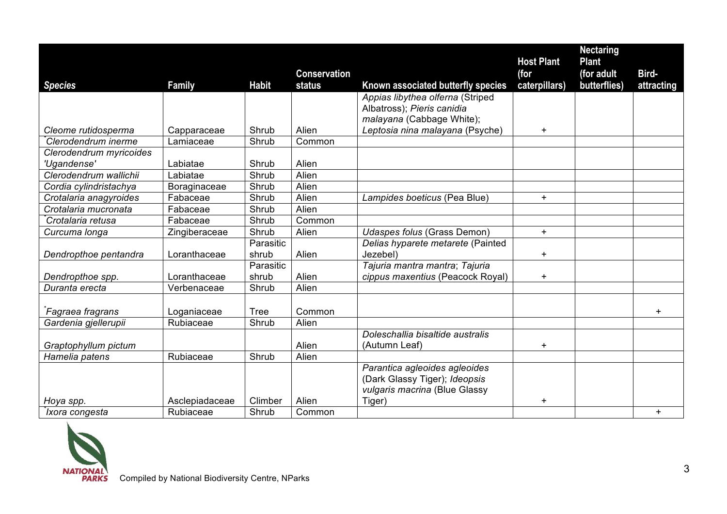|                                |                |              |                     |                                    | <b>Host Plant</b> | <b>Nectaring</b><br><b>Plant</b> |            |
|--------------------------------|----------------|--------------|---------------------|------------------------------------|-------------------|----------------------------------|------------|
|                                |                |              | <b>Conservation</b> |                                    | (for              | (for adult                       | Bird-      |
| <b>Species</b>                 | <b>Family</b>  | <b>Habit</b> | <b>status</b>       | Known associated butterfly species | caterpillars)     | butterflies)                     | attracting |
|                                |                |              |                     | Appias libythea olferna (Striped   |                   |                                  |            |
|                                |                |              |                     | Albatross); Pieris canidia         |                   |                                  |            |
|                                |                |              |                     | malayana (Cabbage White);          |                   |                                  |            |
| Cleome rutidosperma            | Capparaceae    | Shrub        | Alien               | Leptosia nina malayana (Psyche)    | $\pm$             |                                  |            |
| Clerodendrum inerme            | Lamiaceae      | Shrub        | Common              |                                    |                   |                                  |            |
| Clerodendrum myricoides        |                |              |                     |                                    |                   |                                  |            |
| 'Ugandense'                    | Labiatae       | Shrub        | Alien               |                                    |                   |                                  |            |
| Clerodendrum wallichii         | Labiatae       | Shrub        | Alien               |                                    |                   |                                  |            |
| Cordia cylindristachya         | Boraginaceae   | Shrub        | Alien               |                                    |                   |                                  |            |
| Crotalaria anagyroides         | Fabaceae       | Shrub        | Alien               | Lampides boeticus (Pea Blue)       | $+$               |                                  |            |
| Crotalaria mucronata           | Fabaceae       | Shrub        | Alien               |                                    |                   |                                  |            |
| <sup>*</sup> Crotalaria retusa | Fabaceae       | Shrub        | Common              |                                    |                   |                                  |            |
| Curcuma longa                  | Zingiberaceae  | Shrub        | Alien               | <b>Udaspes folus (Grass Demon)</b> | $+$               |                                  |            |
|                                |                | Parasitic    |                     | Delias hyparete metarete (Painted  |                   |                                  |            |
| Dendropthoe pentandra          | Loranthaceae   | shrub        | Alien               | Jezebel)                           | +                 |                                  |            |
|                                |                | Parasitic    |                     | Tajuria mantra mantra; Tajuria     |                   |                                  |            |
| Dendropthoe spp.               | Loranthaceae   | shrub        | Alien               | cippus maxentius (Peacock Royal)   | $\ddot{}$         |                                  |            |
| Duranta erecta                 | Verbenaceae    | Shrub        | Alien               |                                    |                   |                                  |            |
|                                |                |              |                     |                                    |                   |                                  |            |
| `Fagraea fragrans              | Loganiaceae    | Tree         | Common              |                                    |                   |                                  |            |
| Gardenia gjellerupii           | Rubiaceae      | Shrub        | Alien               |                                    |                   |                                  |            |
|                                |                |              |                     | Doleschallia bisaltide australis   |                   |                                  |            |
| Graptophyllum pictum           |                |              | Alien               | (Autumn Leaf)                      | +                 |                                  |            |
| Hamelia patens                 | Rubiaceae      | Shrub        | Alien               |                                    |                   |                                  |            |
|                                |                |              |                     | Parantica agleoides agleoides      |                   |                                  |            |
|                                |                |              |                     | (Dark Glassy Tiger); Ideopsis      |                   |                                  |            |
|                                |                |              |                     | vulgaris macrina (Blue Glassy      |                   |                                  |            |
| Hoya spp.                      | Asclepiadaceae | Climber      | Alien               | Tiger)                             | ٠                 |                                  |            |
| Ixora congesta                 | Rubiaceae      | Shrub        | Common              |                                    |                   |                                  | $+$        |

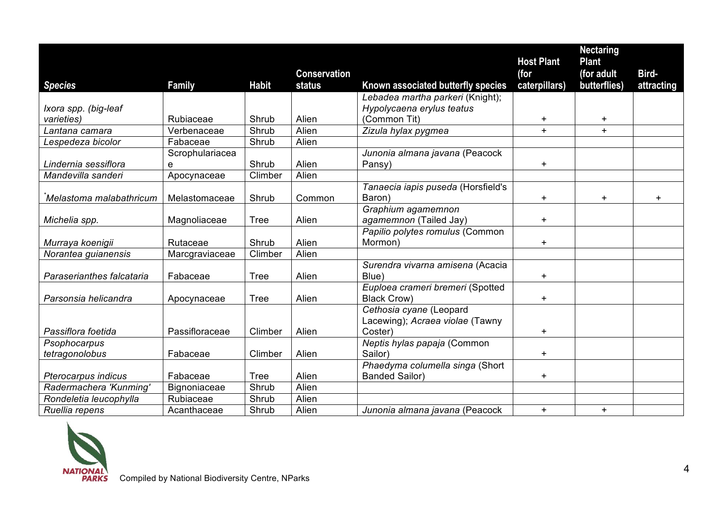|                           |                 |              |                     |                                    |                           | <b>Nectaring</b>    |            |
|---------------------------|-----------------|--------------|---------------------|------------------------------------|---------------------------|---------------------|------------|
|                           |                 |              | <b>Conservation</b> |                                    | <b>Host Plant</b><br>(for | Plant<br>(for adult | Bird-      |
| <b>Species</b>            | <b>Family</b>   | <b>Habit</b> | status              | Known associated butterfly species | caterpillars)             | butterflies)        | attracting |
|                           |                 |              |                     | Lebadea martha parkeri (Knight);   |                           |                     |            |
| Ixora spp. (big-leaf      |                 |              |                     | Hypolycaena erylus teatus          |                           |                     |            |
| varieties)                | Rubiaceae       | Shrub        | Alien               | (Common Tit)                       | $\ddagger$                | $\pm$               |            |
| Lantana camara            | Verbenaceae     | Shrub        | Alien               | Zizula hylax pygmea                | $+$                       | $+$                 |            |
| Lespedeza bicolor         | Fabaceae        | Shrub        | Alien               |                                    |                           |                     |            |
|                           | Scrophulariacea |              |                     | Junonia almana javana (Peacock     |                           |                     |            |
| Lindernia sessiflora      | e               | Shrub        | Alien               | Pansy)                             | $\ddag$                   |                     |            |
| Mandevilla sanderi        | Apocynaceae     | Climber      | Alien               |                                    |                           |                     |            |
|                           |                 |              |                     | Tanaecia iapis puseda (Horsfield's |                           |                     |            |
| Melastoma malabathricum   | Melastomaceae   | Shrub        | Common              | Baron)                             | $+$                       | $+$                 |            |
|                           |                 |              |                     | Graphium agamemnon                 |                           |                     |            |
| Michelia spp.             | Magnoliaceae    | <b>Tree</b>  | Alien               | agamemnon (Tailed Jay)             | $\ddot{}$                 |                     |            |
|                           |                 |              |                     | Papilio polytes romulus (Common    |                           |                     |            |
| Murraya koenigii          | Rutaceae        | Shrub        | Alien               | Mormon)                            | $\pm$                     |                     |            |
| Norantea guianensis       | Marcgraviaceae  | Climber      | Alien               |                                    |                           |                     |            |
|                           |                 |              |                     | Surendra vivarna amisena (Acacia   |                           |                     |            |
| Paraserianthes falcataria | Fabaceae        | <b>Tree</b>  | Alien               | Blue)                              | $+$                       |                     |            |
|                           |                 |              |                     | Euploea crameri bremeri (Spotted   |                           |                     |            |
| Parsonsia helicandra      | Apocynaceae     | <b>Tree</b>  | Alien               | <b>Black Crow)</b>                 | $+$                       |                     |            |
|                           |                 |              |                     | Cethosia cyane (Leopard            |                           |                     |            |
|                           |                 |              |                     | Lacewing); Acraea violae (Tawny    |                           |                     |            |
| Passiflora foetida        | Passifloraceae  | Climber      | Alien               | Coster)                            | $\ddag$                   |                     |            |
| Psophocarpus              |                 |              |                     | Neptis hylas papaja (Common        |                           |                     |            |
| tetragonolobus            | Fabaceae        | Climber      | Alien               | Sailor)                            | $\pm$                     |                     |            |
|                           |                 |              |                     | Phaedyma columella singa (Short    |                           |                     |            |
| Pterocarpus indicus       | Fabaceae        | <b>Tree</b>  | Alien               | <b>Banded Sailor)</b>              | $+$                       |                     |            |
| Radermachera 'Kunming'    | Bignoniaceae    | Shrub        | Alien               |                                    |                           |                     |            |
| Rondeletia leucophylla    | Rubiaceae       | Shrub        | Alien               |                                    |                           |                     |            |
| Ruellia repens            | Acanthaceae     | Shrub        | Alien               | Junonia almana javana (Peacock     | $\ddot{}$                 | $\pm$               |            |